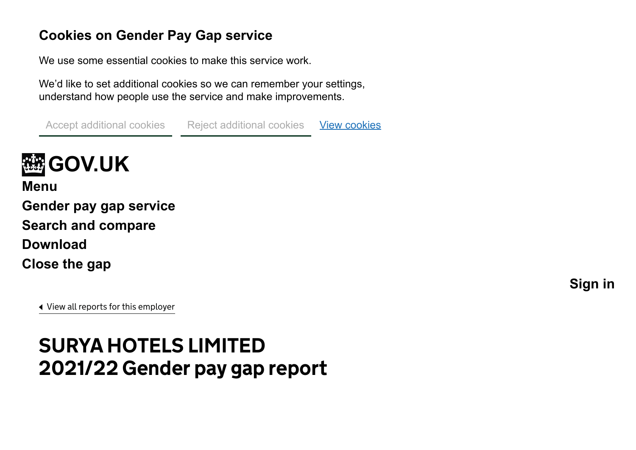## **Cookies on Gender Pay Gap service**

We use some essential cookies to make this service work.

We'd like to set additional cookies so we can remember your settings, understand how people use the service and make improvements.

View [cookies](https://gender-pay-gap.service.gov.uk/cookies) Accept additional cookies Reject additional cookies



<span id="page-0-0"></span>**[Menu](#page-0-0) [Gender pay gap service](https://gender-pay-gap.service.gov.uk/) [Search and compare](https://gender-pay-gap.service.gov.uk/viewing/search-results) [Download](https://gender-pay-gap.service.gov.uk/viewing/download) [Close the gap](https://gender-pay-gap.service.gov.uk/actions-to-close-the-gap)**

**[Sign in](https://gender-pay-gap.service.gov.uk/account/organisations)**

[View all reports for this employer](https://gender-pay-gap.service.gov.uk/Employer/Mr4rJ7WG)

# SURYA HOTELS LIMITED 2021/22 Gender pay gap report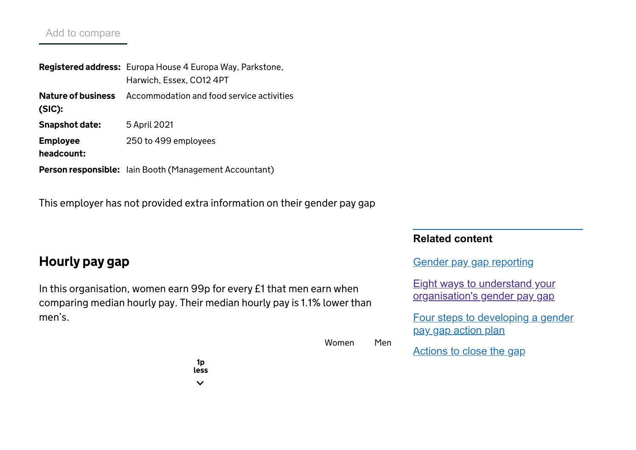#### Add to compare

Registered address: Europa House 4 Europa Way, Parkstone, Nature of business Accommodation and food service activities (SIC): Snapshot date: Employee headcount: **Person responsible:** lain Booth (Management Accountant) Harwich, Essex, CO12 4PT 5 April 2021 250 to 499 employees

This employer has not provided extra information on their gender pay gap

## Hourly pay gap

In this organisation, women earn 99p for every £1 that men earn when comparing median hourly pay. Their median hourly pay is 1.1% lowerthan men's.

#### **Related content**

Gender pay gap [reporting](https://www.gov.uk/government/collections/gender-pay-gap-reporting)

Eight ways to understand your [organisation's](https://gender-pay-gap.service.gov.uk/Employer/Mr4rJ7WG/2021) gender pay gap

Four steps to [developing](https://gender-pay-gap.service.gov.uk/public/assets/pdf/action-plan-guidance.pdf) a gender pay gap action plan

Women Men

[Actions](https://gender-pay-gap.service.gov.uk/actions-to-close-the-gap) to close the gap

1p less $\checkmark$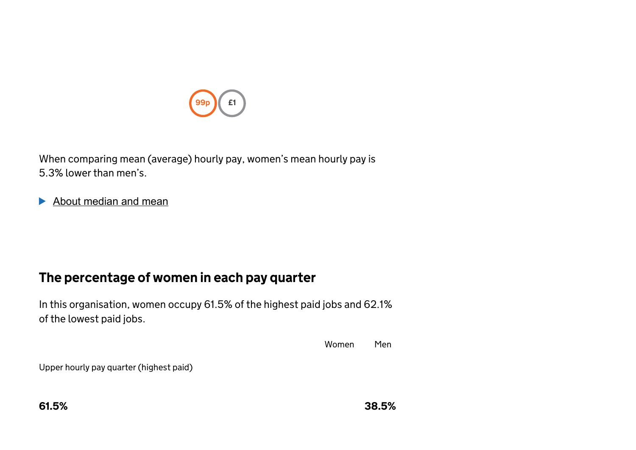

When comparing mean (average) hourly pay, women's mean hourly pay is 5.3% lower than men's.

About median and mean

## The percentage of women in each pay quarter

In this organisation, women occupy 61.5% of the highest paid jobs and 62.1% of the lowest paid jobs.

Women Men

Upper hourly pay quarter (highest paid)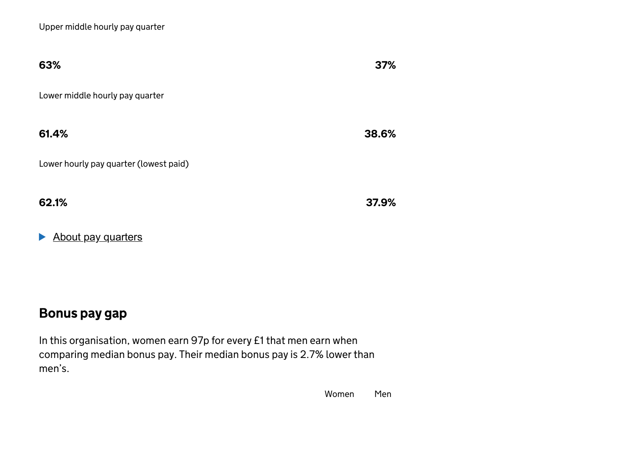| 63%                                    | 37%   |
|----------------------------------------|-------|
| Lower middle hourly pay quarter        |       |
| 61.4%                                  | 38.6% |
| Lower hourly pay quarter (lowest paid) |       |
| 62.1%                                  | 37.9% |

About pay quarters

## Bonus pay gap

In this organisation, women earn 97p for every £1 that men earn when comparing median bonus pay. Their median bonus pay is 2.7% lowerthan men's.

Women Men